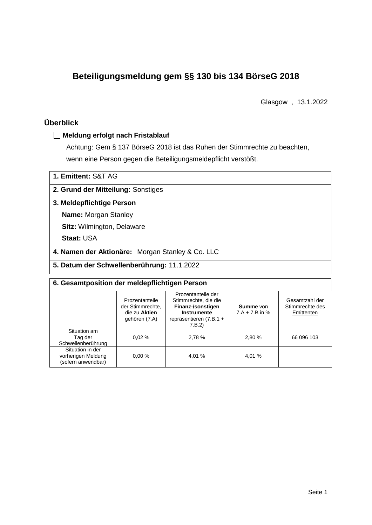# **Beteiligungsmeldung gem §§ 130 bis 134 BörseG 2018**

Glasgow , 13.1.2022

## **Überblick**

#### **Meldung erfolgt nach Fristablauf**

Achtung: Gem § 137 BörseG 2018 ist das Ruhen der Stimmrechte zu beachten, wenn eine Person gegen die Beteiligungsmeldepflicht verstößt.

| 1. Emittent: S&T AG                |  |
|------------------------------------|--|
| 2. Grund der Mitteilung: Sonstiges |  |

### **3. Meldepflichtige Person**

**Name:** Morgan Stanley

**Sitz:** Wilmington, Delaware

**Staat:** USA

**4. Namen der Aktionäre:** Morgan Stanley & Co. LLC

**5. Datum der Schwellenberührung:** 11.1.2022

| 6. Gesamtposition der meldepflichtigen Person                |                                                                      |                                                                                                                    |                                      |                                                 |  |  |
|--------------------------------------------------------------|----------------------------------------------------------------------|--------------------------------------------------------------------------------------------------------------------|--------------------------------------|-------------------------------------------------|--|--|
|                                                              | Prozentanteile<br>der Stimmrechte.<br>die zu Aktien<br>gehören (7.A) | Prozentanteile der<br>Stimmrechte, die die<br>Finanz-/sonstigen<br>Instrumente<br>repräsentieren (7.B.1 +<br>7.B.2 | <b>Summe</b> von<br>$7.A + 7.B$ in % | Gesamtzahl der<br>Stimmrechte des<br>Emittenten |  |  |
| Situation am<br>Tag der<br>Schwellenberührung                | 0.02%                                                                | 2,78 %                                                                                                             | 2.80 %                               | 66 096 103                                      |  |  |
| Situation in der<br>vorherigen Meldung<br>(sofern anwendbar) | 0.00%                                                                | 4.01 %                                                                                                             | 4.01 %                               |                                                 |  |  |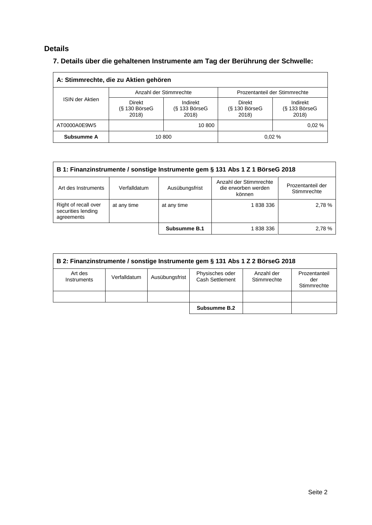## **Details**

## **7. Details über die gehaltenen Instrumente am Tag der Berührung der Schwelle:**

| A: Stimmrechte, die zu Aktien gehören |                                    |                                      |                                    |                                    |  |  |
|---------------------------------------|------------------------------------|--------------------------------------|------------------------------------|------------------------------------|--|--|
|                                       |                                    | Anzahl der Stimmrechte               | Prozentanteil der Stimmrechte      |                                    |  |  |
| ISIN der Aktien                       | Direkt<br>$(S$ 130 BörseG<br>2018) | Indirekt<br>$(S$ 133 BörseG<br>2018) | Direkt<br>$(S$ 130 BörseG<br>2018) | Indirekt<br>(§ 133 BörseG<br>2018) |  |  |
| AT0000A0E9W5                          | 10 800                             |                                      |                                    | 0.02%                              |  |  |
| Subsumme A                            | 10 800                             |                                      |                                    | 0.02%                              |  |  |

| B 1: Finanzinstrumente / sonstige Instrumente gem § 131 Abs 1 Z 1 BörseG 2018                                                                        |             |              |           |       |  |
|------------------------------------------------------------------------------------------------------------------------------------------------------|-------------|--------------|-----------|-------|--|
| Anzahl der Stimmrechte<br>Prozentanteil der<br>Art des Instruments<br>Ausübungsfrist<br>die erworben werden<br>Verfalldatum<br>Stimmrechte<br>können |             |              |           |       |  |
| Right of recall over<br>securities lending<br>agreements                                                                                             | at any time | at any time  | 1 838 336 | 2,78% |  |
|                                                                                                                                                      |             | Subsumme B.1 | 1 838 336 | 2.78% |  |

| B 2: Finanzinstrumente / sonstige Instrumente gem § 131 Abs 1 Z 2 BörseG 2018 |              |                |                                    |                           |                                     |  |
|-------------------------------------------------------------------------------|--------------|----------------|------------------------------------|---------------------------|-------------------------------------|--|
| Art des<br>Instruments                                                        | Verfalldatum | Ausübungsfrist | Physisches oder<br>Cash Settlement | Anzahl der<br>Stimmrechte | Prozentanteil<br>der<br>Stimmrechte |  |
|                                                                               |              |                |                                    |                           |                                     |  |
|                                                                               |              |                | Subsumme B.2                       |                           |                                     |  |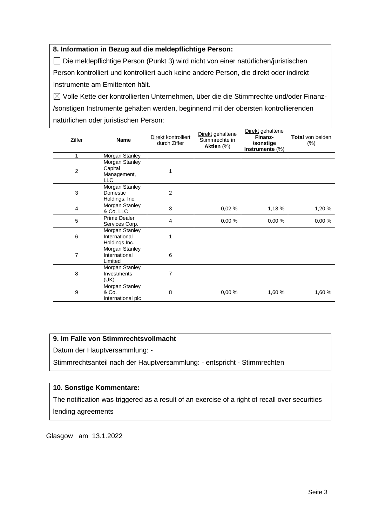#### **8. Information in Bezug auf die meldepflichtige Person:**

Die meldepflichtige Person (Punkt 3) wird nicht von einer natürlichen/juristischen Person kontrolliert und kontrolliert auch keine andere Person, die direkt oder indirekt Instrumente am Emittenten hält.

 $\boxtimes$  Volle Kette der kontrollierten Unternehmen, über die die Stimmrechte und/oder Finanz-/sonstigen Instrumente gehalten werden, beginnend mit der obersten kontrollierenden natürlichen oder juristischen Person:

| Ziffer                  | <b>Name</b>                                            | Direkt kontrolliert<br>durch Ziffer | Direkt gehaltene<br>Stimmrechte in<br>Aktien (%) | Direkt gehaltene<br>Finanz-<br>/sonstige<br>Instrumente (%) | <b>Total</b> von beiden<br>$(\%)$ |
|-------------------------|--------------------------------------------------------|-------------------------------------|--------------------------------------------------|-------------------------------------------------------------|-----------------------------------|
| 1                       | Morgan Stanley                                         |                                     |                                                  |                                                             |                                   |
| $\overline{c}$          | Morgan Stanley<br>Capital<br>Management,<br><b>LLC</b> | 1                                   |                                                  |                                                             |                                   |
| 3                       | Morgan Stanley<br>Domestic<br>Holdings, Inc.           | $\overline{2}$                      |                                                  |                                                             |                                   |
| $\overline{\mathbf{4}}$ | Morgan Stanley<br>& Co. LLC                            | 3                                   | 0,02%                                            | 1,18%                                                       | 1,20 %                            |
| 5                       | Prime Dealer<br>Services Corp.                         | $\overline{4}$                      | 0,00%                                            | 0,00%                                                       | 0,00%                             |
| 6                       | Morgan Stanley<br>International<br>Holdings Inc.       | 1                                   |                                                  |                                                             |                                   |
| $\overline{7}$          | Morgan Stanley<br>International<br>Limited             | 6                                   |                                                  |                                                             |                                   |
| 8                       | Morgan Stanley<br>Investments<br>(UK)                  | 7                                   |                                                  |                                                             |                                   |
| 9                       | Morgan Stanley<br>& Co.<br>International plc           | 8                                   | 0,00%                                            | 1,60 %                                                      | 1,60 %                            |
|                         |                                                        |                                     |                                                  |                                                             |                                   |

#### **9. Im Falle von Stimmrechtsvollmacht**

Datum der Hauptversammlung: -

Stimmrechtsanteil nach der Hauptversammlung: - entspricht - Stimmrechten

#### **10. Sonstige Kommentare:**

The notification was triggered as a result of an exercise of a right of recall over securities lending agreements

Glasgow am 13.1.2022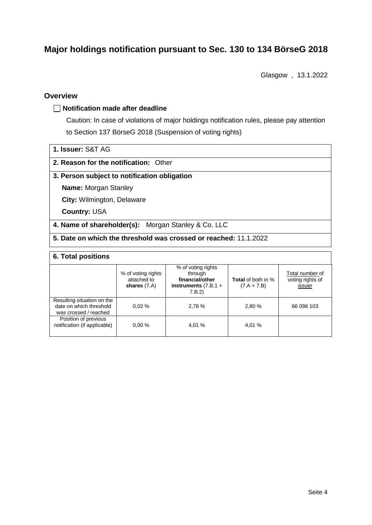## **Major holdings notification pursuant to Sec. 130 to 134 BörseG 2018**

Glasgow , 13.1.2022

#### **Overview**

#### **Notification made after deadline**

Caution: In case of violations of major holdings notification rules, please pay attention to Section 137 BörseG 2018 (Suspension of voting rights)

| 1. Issuer: S&T AG |  |
|-------------------|--|
|                   |  |

#### **2. Reason for the notification:** Other

#### **3. Person subject to notification obligation**

**Name:** Morgan Stanley

**City:** Wilmington, Delaware

**Country:** USA

**4. Name of shareholder(s):** Morgan Stanley & Co. LLC

**5. Date on which the threshold was crossed or reached:** 11.1.2022

#### **6. Total positions**

|                                                                                | % of voting rights<br>attached to<br>shares $(7.A)$ | % of voting rights<br>through<br>financial/other<br>instruments $(7.B.1 +$<br>7.B.2 | <b>Total</b> of both in %<br>$(7.A + 7.B)$ | Total number of<br>voting rights of<br>issuer |  |  |
|--------------------------------------------------------------------------------|-----------------------------------------------------|-------------------------------------------------------------------------------------|--------------------------------------------|-----------------------------------------------|--|--|
| Resulting situation on the<br>date on which threshold<br>was crossed / reached | 0.02%                                               | 2,78 %                                                                              | 2,80 %                                     | 66 096 103                                    |  |  |
| Position of previous<br>notification (if applicable)                           | 0.00%                                               | 4,01 %                                                                              | 4,01 %                                     |                                               |  |  |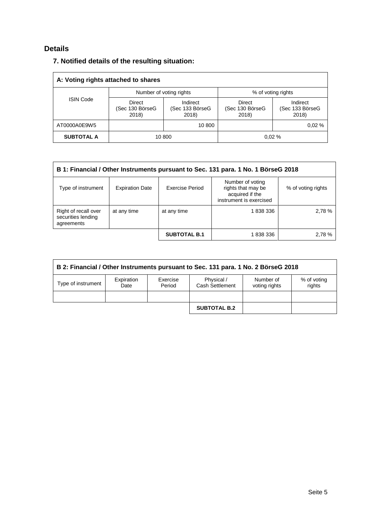## **Details**

### **7. Notified details of the resulting situation:**

| A: Voting rights attached to shares |                                    |                                      |                                    |                                      |  |  |
|-------------------------------------|------------------------------------|--------------------------------------|------------------------------------|--------------------------------------|--|--|
|                                     |                                    | Number of voting rights              | % of voting rights                 |                                      |  |  |
| <b>ISIN Code</b>                    | Direct<br>(Sec 130 BörseG<br>2018) | Indirect<br>(Sec 133 BörseG<br>2018) | Direct<br>(Sec 130 BörseG<br>2018) | Indirect<br>(Sec 133 BörseG<br>2018) |  |  |
| AT0000A0E9W5                        |                                    | 10 800                               |                                    | 0.02%                                |  |  |
| <b>SUBTOTAL A</b>                   | 10 800                             |                                      |                                    | 0.02%                                |  |  |

| B 1: Financial / Other Instruments pursuant to Sec. 131 para. 1 No. 1 BörseG 2018 |                        |                     |                                                                                      |                    |  |
|-----------------------------------------------------------------------------------|------------------------|---------------------|--------------------------------------------------------------------------------------|--------------------|--|
| Type of instrument                                                                | <b>Expiration Date</b> | Exercise Period     | Number of voting<br>rights that may be<br>acquired if the<br>instrument is exercised | % of voting rights |  |
| Right of recall over<br>securities lending<br>agreements                          | at any time            | at any time         | 1838336                                                                              | 2,78 %             |  |
|                                                                                   |                        | <b>SUBTOTAL B.1</b> | 1 838 336                                                                            | 2,78 %             |  |

| B 2: Financial / Other Instruments pursuant to Sec. 131 para. 1 No. 2 BörseG 2018 |                    |                    |                               |                            |                       |  |
|-----------------------------------------------------------------------------------|--------------------|--------------------|-------------------------------|----------------------------|-----------------------|--|
| Type of instrument                                                                | Expiration<br>Date | Exercise<br>Period | Physical /<br>Cash Settlement | Number of<br>voting rights | % of voting<br>rights |  |
|                                                                                   |                    |                    |                               |                            |                       |  |
|                                                                                   |                    |                    | <b>SUBTOTAL B.2</b>           |                            |                       |  |